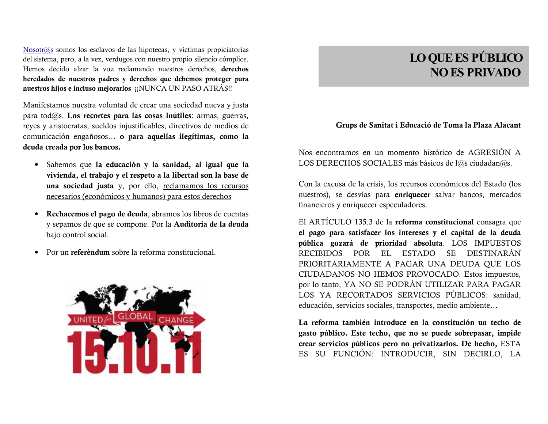$Nosotr(\omega s)$  somos los esclavos de las hipotecas, y víctimas propiciatorias del sistema, pero, a la vez, verdugos con nuestro propio silencio cómplice. Hemos decido alzar la voz reclamando nuestros derechos, derechos heredados de nuestros padres y derechos que debemos proteger para nuestros hijos e incluso mejorarlos ¡¡NUNCA UN PASO ATRÁS!!

Manifestamos nuestra voluntad de crear una sociedad nueva y justa para tod $(a)$ s. Los recortes para las cosas inútiles: armas, guerras, reyes y aristocratas, sueldos injustificables, directivos de medios de comunicación engañosos... o para aquellas ilegítimas, como la deuda creada por los bancos.

- · Sabemos que la educación y la sanidad, al igual que la vivienda, el trabajo y el respeto a la libertad son la base de una sociedad justa y, por ello, reclamamos los recursos necesarios (económicos y humanos) para estos derechos
- Rechacemos el pago de deuda, abramos los libros de cuentas  $\bullet$ y sepamos de que se compone. Por la Auditoria de la deuda bajo control social.
- Por un **referèndum** sobre la reforma constitucional.



## **LO QUE ES PÚBLICO NO ES PRIVADO**

## Grups de Sanitat i Educació de Toma la Plaza Alacant

Nos encontramos en un momento histórico de AGRESIÓN A LOS DERECHOS SOCIALES más básicos de l@s ciudadan@s.

Con la excusa de la crisis, los recursos económicos del Estado (los nuestros), se desvías para enriquecer salvar bancos, mercados financieros y enriquecer especuladores.

El ARTÍCULO 135.3 de la reforma constitucional consagra que el pago para satisfacer los intereses y el capital de la deuda pública gozará de prioridad absoluta. LOS IMPUESTOS RECIBIDOS POR EL ESTADO SE DESTINARÁN PRIORITARIAMENTE A PAGAR UNA DEUDA QUE LOS CIUDADANOS NO HEMOS PROVOCADO. Estos impuestos, por lo tanto, YA NO SE PODRÁN UTILIZAR PARA PAGAR LOS YA RECORTADOS SERVICIOS PÚBLICOS: sanidad. educación, servicios sociales, transportes, medio ambiente...

La reforma también introduce en la constitución un techo de gasto público. Este techo, que no se puede sobrepasar, impide crear servicios públicos pero no privatizarlos. De hecho, ESTA ES SU FUNCIÓN: INTRODUCIR, SIN DECIRLO, LA